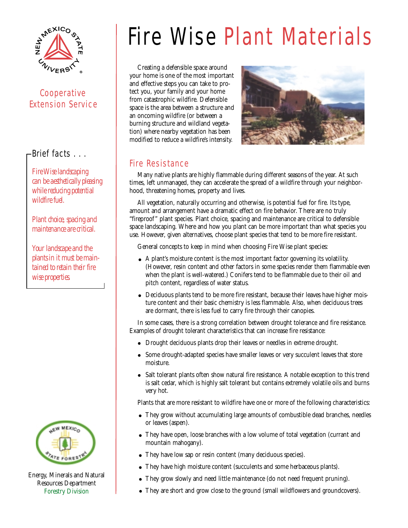

## Cooperative Extension Service

### Brief facts . . .

*Fire Wise landscaping can be aesthetically pleasing while reducing potential wildfire fuel.*

*Plant choice, spacing and maintenance are critical.*

*Your landscape and the plants in it must be maintained to retain their fire wise properties.*



Energy, Minerals and Natural Resources Department Forestry Division

# Fire Wise Plant Materials

Creating a defensible space around your home is one of the most important and effective steps you can take to protect you, your family and your home from catastrophic wildfire. Defensible space is the area between a structure and an oncoming wildfire (or between a burning structure and wildland vegetation) where nearby vegetation has been modified to reduce a wildfire's intensity.



#### Fire Resistance

Many native plants are highly flammable during different seasons of the year. At such times, left unmanaged, they can accelerate the spread of a wildfire through your neighborhood, threatening homes, property and lives.

All vegetation, naturally occurring and otherwise, is potential fuel for fire. Its type, amount and arrangement have a dramatic effect on fire behavior. There are no truly "fireproof" plant species. Plant choice, spacing and maintenance are critical to defensible space landscaping. Where and how you plant can be more important than what species you use. However, given alternatives, choose plant species that tend to be more fire resistant.

General concepts to keep in mind when choosing Fire Wise plant species:

- A plant's moisture content is the most important factor governing its volatility. (However, resin content and other factors in some species render them flammable even when the plant is well-watered.) Conifers tend to be flammable due to their oil and pitch content, regardless of water status.
- Deciduous plants tend to be more fire resistant, because their leaves have higher moisture content and their basic chemistry is less flammable. Also, when deciduous trees are dormant, there is less fuel to carry fire through their canopies.

In some cases, there is a strong correlation between drought tolerance and fire resistance. Examples of drought tolerant characteristics that can increase fire resistance:

- Drought deciduous plants drop their leaves or needles in extreme drought.
- Some drought-adapted species have smaller leaves or very succulent leaves that store moisture.
- Salt tolerant plants often show natural fire resistance. A notable exception to this trend is salt cedar, which is highly salt tolerant but contains extremely volatile oils and burns very hot.

Plants that are more resistant to wildfire have one or more of the following characteristics:

- They grow without accumulating large amounts of combustible dead branches, needles or leaves (aspen).
- They have open, loose branches with a low volume of total vegetation (currant and mountain mahogany).
- They have low sap or resin content (many deciduous species).
- They have high moisture content (succulents and some herbaceous plants).
- They grow slowly and need little maintenance (do not need frequent pruning).
- They are short and grow close to the ground (small wildflowers and groundcovers).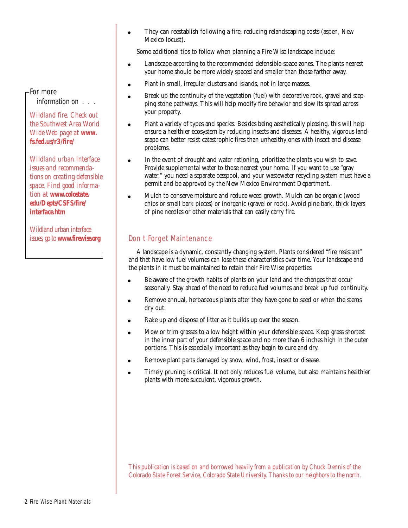They can reestablish following a fire, reducing relandscaping costs (aspen, New  $\bullet$ Mexico locust).

Some additional tips to follow when planning a Fire Wise landscape include:

- Landscape according to the recommended defensible-space zones. The plants nearest  $\bullet$ your home should be more widely spaced and smaller than those farther away.
- Plant in small, irregular clusters and islands, not in large masses.  $\bullet$
- Break up the continuity of the vegetation (fuel) with decorative rock, gravel and step- $\bullet$ ping stone pathways. This will help modify fire behavior and slow its spread across your property.
- Plant a variety of types and species. Besides being aesthetically pleasing, this will help  $\bullet$ ensure a healthier ecosystem by reducing insects and diseases. A healthy, vigorous landscape can better resist catastrophic fires than unhealthy ones with insect and disease problems.
- In the event of drought and water rationing, prioritize the plants you wish to save. Provide supplemental water to those nearest your home. If you want to use "gray water," you need a separate cesspool, and your wastewater recycling system must have a permit and be approved by the New Mexico Environment Department.
- Mulch to conserve moisture and reduce weed growth. Mulch can be organic (wood  $\bullet$ chips or small bark pieces) or inorganic (gravel or rock). Avoid pine bark, thick layers of pine needles or other materials that can easily carry fire.

#### Don t Forget Maintenance

A landscape is a dynamic, constantly changing system. Plants considered "fire resistant" and that have low fuel volumes can lose these characteristics over time. Your landscape and the plants in it must be maintained to retain their Fire Wise properties.

- Be aware of the growth habits of plants on your land and the changes that occur seasonally. Stay ahead of the need to reduce fuel volumes and break up fuel continuity.
- Remove annual, herbaceous plants after they have gone to seed or when the stems dry out.
- Rake up and dispose of litter as it builds up over the season.  $\bullet$
- Mow or trim grasses to a low height within your defensible space. Keep grass shortest in the inner part of your defensible space and no more than 6 inches high in the outer portions. This is especially important as they begin to cure and dry.
- Remove plant parts damaged by snow, wind, frost, insect or disease.
- Timely pruning is critical. It not only reduces fuel volume, but also maintains healthier  $\bullet$ plants with more succulent, vigorous growth.

*This publication is based on and borrowed heavily from a publication by Chuck Dennis of the Colorado State Forest Service, Colorado State University. Thanks to our neighbors to the north.*

#### For more information on . . .

*Wildland fire. Check out the Southwest Area World Wide Web page at www. fs.fed.us/r3/fire/* 

*Wildland urban interface issues and recommendations on creating defensible space. Find good information at www.colostate. edu/Depts/CSFS/fire/ interface.htm*

*Wildland urban interface issues, go to www.firewise.org*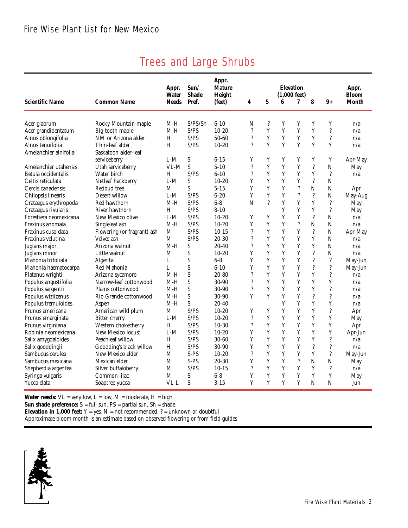| <b>Scientific Name</b>                    | <b>Common Name</b>                         | Appr.<br><b>Water</b><br><b>Needs</b> | Sun/<br><b>Shade</b><br>Pref. | Appr.<br><b>Mature</b><br>Height<br>(feet) | 4                             | $\mathbf 5$              | 6           | <b>Elevation</b><br>$(1.000 \text{ feet})$<br>7 | 8                  | $9+$                     | Appr.<br><b>Bloom</b><br>Month |
|-------------------------------------------|--------------------------------------------|---------------------------------------|-------------------------------|--------------------------------------------|-------------------------------|--------------------------|-------------|-------------------------------------------------|--------------------|--------------------------|--------------------------------|
| Acer glabrum                              | Rocky Mountain maple                       | $M-H$                                 | S/PS/Sh                       | $6 - 10$                                   | N                             | ?                        | Y           | Y                                               | Y                  | Y                        | n/a                            |
| Acer grandidentatum                       | Big-tooth maple                            | M-H                                   | S/PS                          | $10 - 20$                                  | $\overline{\mathcal{L}}$      | Y                        | Y           | Y                                               | Y                  | $\overline{\mathcal{L}}$ | n/a                            |
| Alnus oblongifolia                        | NM or Arizona alder                        | H                                     | S/PS                          | $50 - 60$                                  | ?                             | Y                        | Y           | Y                                               | Y                  | ?                        | n/a                            |
| Alnus tenuifolia                          | Thin-leaf alder                            | H                                     | S/PS                          | $10 - 20$                                  | ?                             | Y                        | Y           | Y                                               | Y                  | Y                        | n/a                            |
| Amelanchier alnifolia                     | Saskatoon alder-leaf                       |                                       |                               |                                            |                               |                          |             |                                                 |                    |                          |                                |
|                                           | serviceberry                               | $L-M$                                 | S                             | $6 - 15$                                   | Y                             | Y                        | Y           | Y                                               | Y                  | Y                        | Apr-May                        |
| Amelanchier utahensis                     | Utah serviceberry                          | VL-M                                  | S                             | $5 - 10$                                   | ?                             | Y                        | Y           | Y                                               | $\ddot{?}$         | $\mathbf N$              | May                            |
| Betula occidentalis                       | Water birch                                | H                                     | S/PS                          | $6 - 10$                                   | ?                             | Y                        | Y           | Y                                               | Y                  | $\overline{\cdot}$       | n/a                            |
| Celtis reticulata                         | Netleaf hackberry                          | $L-M$                                 | S                             | $10 - 20$                                  | Y                             | Y                        | Y           | Y                                               | $\overline{\cdot}$ | N                        |                                |
| Cercis canadensis                         | Redbud tree                                | M                                     | S                             | $5 - 15$                                   | Y                             | Y                        | Y           | $\ddot{.}$                                      | N                  | N                        | Apr                            |
| Chilopsis linearis                        | Desert willow                              | $L-M$                                 | S/PS                          | $6 - 20$                                   | Y                             | Y                        | Y           | $\ddot{?}$                                      | $\ddot{?}$         | N                        | May-Aug                        |
| Crataegus erythropoda                     | Red hawthorn                               | M-H                                   | S/PS                          | $6 - 8$                                    | $\mathbf N$                   | $\overline{\mathcal{L}}$ | Y           | Y                                               | Y                  | $\ddot{?}$               | May                            |
| Crataegus rivularis                       | River hawthorn                             | H                                     | S/PS                          | $8 - 10$                                   |                               |                          | Y           | Y                                               | Y                  | $\ddot{.}$               | May                            |
| Forestiera neomexicana                    | New Mexico olive                           | $L-M$                                 | S/PS                          | $10 - 20$                                  | Y                             | Y                        | Y           | Y                                               | $\overline{\cdot}$ | N                        | n/a                            |
| Fraxinus anomala                          | Singleleaf ash                             | M-H                                   | S/PS                          | $10 - 20$                                  | Y                             | Y                        | Y           | $\overline{\mathcal{L}}$                        | N                  | N                        | n/a                            |
| Fraxinus cuspidata                        | Flowering (or fragrant) ash                | $\mathbf M$                           | S/PS                          | $10-15$                                    | ?                             | Y                        | Y           | Y                                               | $\ddot{?}$         | N                        | Apr-May                        |
| Fraxinus velutina                         | Velvet ash                                 | M                                     | S/PS                          | $20 - 30$                                  | $\overline{\mathcal{E}}$      | Y                        | Y           | Y                                               | Y                  | N                        | n/a                            |
| Juglans major                             | Arizona walnut                             | $M-H$                                 | S                             | $20 - 40$                                  | $\overline{\mathcal{L}}$      | Y                        | Y           | Y                                               | Y                  | N                        | n/a                            |
| Juglans minor                             | Little walnut                              | М                                     | S                             | $10 - 20$                                  | Y                             | Y                        | Y           | Y                                               | $\ddot{?}$         | N                        | n/a                            |
| Mahonia trifoliata                        | Algerita                                   | L                                     | S                             | $6 - 8$                                    | Y                             | Y                        | Y           | Y                                               | $\ddot{?}$         | $\ddot{?}$               | May-Jun                        |
| Mahonia haematocarpa                      | Red Mahonia                                | L                                     | S                             | $6 - 10$                                   | Y                             | Y                        | Y           | Y                                               | $\ddot{?}$         | $\ddot{.}$               | May-Jun                        |
| Platanus wrightii                         |                                            | M-H                                   | S                             | $20 - 80$                                  | $\overline{\mathcal{L}}$      | Y                        | Y           | Y                                               | Y                  | ?                        | n/a                            |
|                                           | Arizona sycamore<br>Narrow-leaf cottonwood | $M-H$                                 | S                             | $30-90$                                    | $\overline{\mathcal{L}}$      | Y                        | Y           | Y                                               | Y                  | Y                        |                                |
| Populus angustifolia                      |                                            | $M-H$                                 | S                             | $30-90$                                    | $\overline{\mathcal{L}}$      | Y                        | Y           | Y                                               | Y                  | $\ddot{.}$               | n/a                            |
| Populus sargentii                         | Plains cottonwood                          | M-H                                   | S                             | 30-90                                      | Y                             | Y                        | Y           | Y                                               | $\ddot{?}$         | $\overline{\mathcal{E}}$ | n/a<br>n/a                     |
| Populus wizlizenus<br>Populus tremuloides | Rio Grande cottonwood                      | $M-H$                                 | S                             | $20 - 40$                                  |                               |                          | $\mathbf Y$ | Y                                               | Y                  | Y                        |                                |
|                                           | Aspen                                      |                                       | S/PS                          |                                            |                               | Y                        | Y           | Y                                               | Y                  | ?                        | n/a                            |
| Prunus americana                          | American wild plum                         | M                                     |                               | $10 - 20$                                  | Y<br>$\overline{\mathcal{L}}$ | Y                        | Y           | Y                                               | Y                  | Y                        | Apr                            |
| Prunus emarginata                         | <b>Bitter</b> cherry                       | $L-M$                                 | S/PS<br>S/PS                  | $10 - 20$                                  | $\overline{\mathcal{E}}$      |                          | Y           |                                                 |                    |                          | May                            |
| Prunus virginiana                         | Western chokecherry                        | H                                     |                               | $10-30$                                    |                               | Y<br>Y                   |             | Y<br>Y                                          | Y                  | Y                        | Apr                            |
| Robinia neomexicana                       | New Mexico locust                          | $L-M$                                 | S/PS                          | $10 - 20$                                  | Y                             |                          | Y           |                                                 | Y                  | Y                        | Apr-Jun                        |
| Salix amygdaloides                        | Peachleaf willow                           | H                                     | S/PS                          | $30 - 60$                                  | Y                             | Y                        | Y           | Y                                               | Y                  | $\overline{\mathcal{E}}$ | n/a                            |
| Salix gooddingii                          | Goodding's black willow                    | H                                     | S/PS                          | 30-90                                      | Y                             | Y                        | Y           | Y                                               | $\ddot{?}$         | ?                        | n/a                            |
| Sambucus cerulea                          | New Mexico elder                           | M                                     | S-PS                          | $10-20$                                    | $\overline{\mathcal{L}}$      | Y                        | Y           | Y                                               | Y                  | ?                        | May-Jun                        |
| Sambucus mexicana                         | Mexican elder                              | M                                     | S-PS                          | $20 - 30$                                  | Y                             | Y                        | Y           | $\ddot{.}$                                      | $\mathbf N$        | N                        | May                            |
| Shepherdia argentea                       | Silver buffaloberry                        | M                                     | S/PS                          | $10-15$                                    | $\overline{\mathcal{L}}$      | Y                        | Y           | Y                                               | Y                  | ?                        | n/a                            |
| Syringa vulgaris                          | Common lilac                               | M                                     | S                             | $6 - 8$                                    | Y                             | $\mathbf Y$              | Y           | Y                                               | Y                  | Y                        | May                            |
| Yucca elata                               | Soaptree yucca                             | VL-L                                  | S                             | $3 - 15$                                   | Y                             | Y                        | Y           | Y                                               | N                  | N                        | Jun                            |

# Trees and Large Shrubs

**Water needs:**  $VL = very low$ ,  $L = low$ ,  $M = moderate$ ,  $H = high$ 

**Sun shade preference:**  $S = full sum$ ,  $PS = partial sum$ ,  $Sh = shade$ 

**Elevation in 1,000 feet:**  $Y = yes$ ,  $N = not recommended$ ,  $? = unknown or doubtful$ 

Approximate bloom month is an estimate based on observed flowering or from field guides

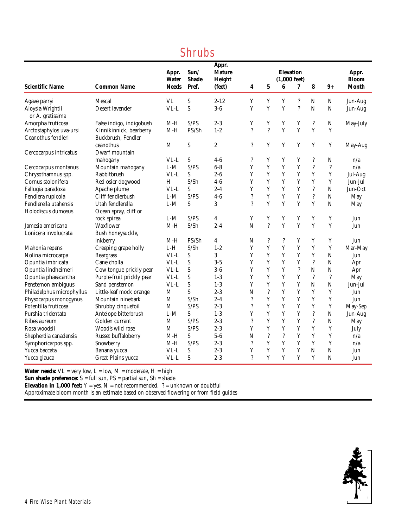| <b>Scientific Name</b>               | <b>Common Name</b>        | Appr.<br><b>Water</b><br><b>Needs</b> | Sun/<br><b>Shade</b><br>Pref. | Appr.<br><b>Mature</b><br>Height<br>(feet) | 4                        | $\bf{5}$                 | <b>Elevation</b><br>$(1,000 \text{ feet})$<br>6 | 7                        | 8                        | $9+$           | Appr.<br><b>Bloom</b><br>Month |
|--------------------------------------|---------------------------|---------------------------------------|-------------------------------|--------------------------------------------|--------------------------|--------------------------|-------------------------------------------------|--------------------------|--------------------------|----------------|--------------------------------|
| Agave parryi                         | Mescal                    | <b>VL</b>                             | S                             | $2 - 12$                                   | Y                        | Y                        | Y                                               | $\overline{\mathcal{E}}$ | ${\bf N}$                | N              | Jun-Aug                        |
| Aloysia Wrightii<br>or A. gratissima | Desert lavender           | $VL-L$                                | S                             | $3-6$                                      | Y                        | Y                        | Y                                               | $\overline{\mathcal{E}}$ | $\overline{N}$           | $\mathbf N$    | Jun-Aug                        |
| Amorpha fruticosa                    | False indigo, indigobush  | $M-H$                                 | S/PS                          | $2 - 3$                                    | Y                        | Y                        | Y                                               | Y                        | $\overline{\cdot}$       | N              | May-July                       |
| Arctostaphylos uva-ursi              | Kinnikinnick, bearberry   | $M-H$                                 | PS/Sh                         | $1 - 2$                                    | $\overline{\mathcal{L}}$ | $\ddot{?}$               | Y                                               | Y                        | Y                        | Y              |                                |
| Ceanothus fendleri                   | Buckbrush, Fendler        |                                       |                               |                                            |                          |                          |                                                 |                          |                          |                |                                |
|                                      | ceanothus                 | M                                     | S                             | $\boldsymbol{2}$                           | $\gamma$                 | Y                        | $\mathbf Y$                                     | Y                        | Y                        | Y              | May-Aug                        |
| Cercocarpus intricatus               | Dwarf mountain            |                                       |                               |                                            |                          |                          |                                                 |                          |                          |                |                                |
|                                      | mahogany                  | VL-L                                  | S                             | $4-6$                                      | ?                        | Y                        | Y                                               | Y                        | ?                        | N              | n/a                            |
| Cercocarpus montanus                 | Mountain mahogany         | $L-M$                                 | S/PS                          | $6-8$                                      | Y                        | Y                        | Y                                               | Y                        | $\ddot{?}$               | $\ddot{?}$     | n/a                            |
| Chrysothamnus spp.                   | Rabbitbrush               | VL-L                                  | S                             | $2 - 6$                                    | Y                        | Y                        | Y                                               | Y                        | Y                        | $\mathbf Y$    | Jul-Aug                        |
| Cornus stolonifera                   | Red osier dogwood         | H                                     | S/Sh                          | $4-6$                                      | Y                        | $\mathbf Y$              | Y                                               | Y                        | Y                        | $\mathbf Y$    | Jun-Jul                        |
| Fallugia paradoxa                    | Apache plume              | $VL-L$                                | S                             | $2 - 4$                                    | Y                        | Y                        | Y                                               | Y                        | $\ddot{?}$               | $\mathbf N$    | Jun-Oct                        |
| Fendlera rupicola                    | Cliff fendlerbush         | $L-M$                                 | S/PS                          | $4-6$                                      | $\gamma$                 | Y                        | Y                                               | Y                        | $\overline{\mathcal{L}}$ | $\overline{N}$ | May                            |
| Fendlerella utahensis                | Utah fendlerella          | $L-M$                                 | S                             | 3                                          | $\gamma$                 | Y                        | Y                                               | Y                        | Y                        | $\mathbf N$    | May                            |
| Holodiscus dumosus                   | Ocean spray, cliff or     |                                       |                               |                                            |                          |                          |                                                 |                          |                          |                |                                |
|                                      | rock spirea               | $L-M$                                 | S/PS                          | $\overline{4}$                             | Y                        | Y                        | Y                                               | Y                        | Y                        | Y              | Jun                            |
| Jamesia americana                    | <b>Waxflower</b>          | $M-H$                                 | S/Sh                          | $2 - 4$                                    | N                        | $\overline{\mathcal{L}}$ | Y                                               | Y                        | Y                        | Y              | Jun                            |
| Lonicera involucrata                 | Bush honeysuckle,         |                                       |                               |                                            |                          |                          |                                                 |                          |                          |                |                                |
|                                      | inkberry                  | $M-H$                                 | PS/Sh                         | $\overline{4}$                             | N                        | $\overline{\cdot}$       | ?                                               | Y                        | Y                        | Y              | Jun                            |
| Mahonia repens                       | Creeping grape holly      | $L-H$                                 | S/Sh                          | $1 - 2$                                    | Y                        | Y                        | $\mathbf Y$                                     | Y                        | $\mathbf Y$              | $\mathbf Y$    | Mar-May                        |
| Nolina microcarpa                    | <b>Beargrass</b>          | VL-L                                  | S                             | 3                                          | Y                        | Y                        | Y                                               | Y                        | Y                        | $\mathbf N$    | Jun                            |
| Opuntia imbricata                    | Cane cholla               | $VL-L$                                | S                             | $3 - 5$                                    | Y                        | Y                        | Y                                               | Y                        | $\overline{\mathcal{C}}$ | $\mathbf N$    | Apr                            |
| Opuntia lindheimeri                  | Cow tongue prickly pear   | $VL-L$                                | S                             | $3-6$                                      | Y                        | $\mathbf Y$              | Y                                               | $\ddot{?}$               | $\overline{N}$           | $\mathbf N$    | Apr                            |
| Opuntia phaeacantha                  | Purple-fruit prickly pear | $VL-L$                                | S                             | $1-3$                                      | Y                        | Y                        | Y                                               | Y                        | $\overline{\cdot}$       | $\ddot{?}$     | May                            |
| Penstemon ambiguus                   | Sand penstemon            | $VL-L$                                | S                             | $1-3$                                      | Y                        | Y                        | Y                                               | Y                        | N                        | $\mathbf N$    | Jun-Jul                        |
| Philadelphus microphyllus            | Little-leaf mock orange   | M                                     | S                             | $2 - 3$                                    | N                        | $\ddot{?}$               | Y                                               | Y                        | Y                        | $\mathbf Y$    | Jun                            |
| Physocarpus monogynus                | Mountain ninebark         | M                                     | S/Sh                          | $2 - 4$                                    | $\ddot{?}$               | Y                        | Y                                               | Y                        | Y                        | Y              | Jun                            |
| Potentilla fruticosa                 | Shrubby cinquefoil        | $\mathbf{M}$                          | S/PS                          | $2 - 3$                                    | $\ddot{.}$               | Y                        | Y                                               | Y                        | Y                        | Y              | May-Sep                        |
| Purshia tridentata                   | Antelope bitterbrush      | $L-M$                                 | S                             | $1-3$                                      | Y                        | Y                        | Y                                               | Y                        | $\overline{\mathcal{L}}$ | $\mathbf N$    | Jun-Aug                        |
| Ribes aureum                         | Golden currant            | M                                     | S/PS                          | $2 - 3$                                    | $\gamma$                 | Y                        | Y                                               | Y                        | $\ddot{?}$               | $\mathbf N$    | May                            |
| Rosa woodsii                         | Wood's wild rose          | M                                     | S/PS                          | $2 - 3$                                    | Y                        | Y                        | Y                                               | Y                        | Y                        | Y              | July                           |
| Shepherdia canadensis                | Russet buffaloberry       | $M-H$                                 | S                             | $5-6$                                      | N                        | $\ddot{?}$               | $\overline{\mathcal{L}}$                        | Y                        | Y                        | Y              | n/a                            |
| Symphoricarpos spp.                  | Snowberry                 | $M-H$                                 | S/PS                          | $2 - 3$                                    | $\ddot{?}$               | Y                        | Y                                               | Y                        | Y                        | Y              | n/a                            |
| Yucca baccata                        | Banana yucca              | $VL-L$                                | S                             | $2 - 3$                                    | Y                        | $\mathbf Y$              | Y                                               | Y                        | $\overline{N}$           | $\overline{N}$ | Jun                            |
| Yucca glauca                         | Great Plains yucca        | VL-L                                  | S                             | $2 - 3$                                    | $\gamma$                 | Y                        | Y                                               | Y                        | Y                        | N              | Jun                            |

## Shrubs

**Water needs:**  $VL = very low, L = low, M = moderate, H = high$ 

**Sun shade preference:** S = full sun, PS = partial sun, Sh = shade

**Elevation in 1,000 feet:**  $Y = yes$ ,  $N = not recommended$ ,  $? = unknown or doubtful$ 

Approximate bloom month is an estimate based on observed flowering or from field guides

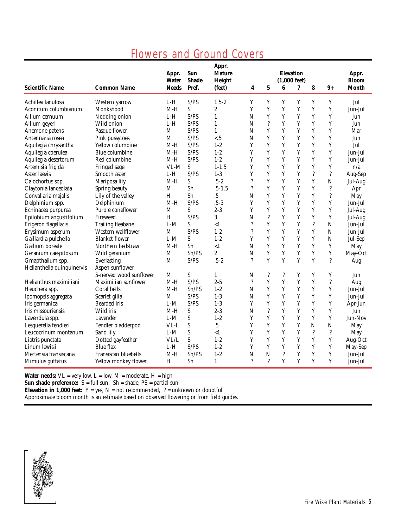## Flowers and Ground Covers

| <b>Scientific Name</b>     | <b>Common Name</b>       | Appr.<br><b>Water</b><br><b>Needs</b> | Sun<br><b>Shade</b><br>Pref. | Appr.<br><b>Mature</b><br>Height<br>(feet) | 4                        | $\bf 5$            | 6                        | <b>Elevation</b><br>$(1,000$ feet)<br>7 | 8           | $9+$                     | Appr.<br><b>Bloom</b><br><b>Month</b> |
|----------------------------|--------------------------|---------------------------------------|------------------------------|--------------------------------------------|--------------------------|--------------------|--------------------------|-----------------------------------------|-------------|--------------------------|---------------------------------------|
| Achillea lanulosa          | Western yarrow           | L-H                                   | S/PS                         | $1.5 - 2$                                  | Y                        | Y                  | Y                        | Y                                       | $\mathbf Y$ | Y                        | Jul                                   |
| Aconitum columbianum       | Monkshood                | $M-H$                                 | S                            | $\boldsymbol{2}$                           | Y                        | Y                  | Y                        | Y                                       | Y           | Y                        | Jun-Jul                               |
| Allium cernuum             | Nodding onion            | $L-H$                                 | S/PS                         | $\mathbf{1}$                               | N                        | Y                  | Y                        | Y                                       | Y           | Y                        | Jun                                   |
| Allium geyeri              | Wild onion               | $L-H$                                 | S/PS                         | $\mathbf{1}$                               | N                        | $\ddot{?}$         | Y                        | Y                                       | Y           | $\mathbf Y$              | Jun                                   |
| Anemone patens             | Pasque flower            | M                                     | S/PS                         | $\mathbf{1}$                               | N                        | Y                  | Y                        | Y                                       | Y           | $\mathbf Y$              | Mar                                   |
| Antennaria rosea           | Pink pussytoes           | $\mathbf{M}$                          | S/PS                         | $\epsilon$ .5                              | N                        | Y                  | Y                        | Y                                       | Y           | Y                        | Jun                                   |
| Aquilegia chrysantha       | Yellow columbine         | $M-H$                                 | S/PS                         | $1 - 2$                                    | Y                        | Y                  | Y                        | Y                                       | Y           | Y                        | Jul                                   |
| Aquilegia coerulea         | Blue columbine           | $M-H$                                 | S/PS                         | $1 - 2$                                    | Y                        | Y                  | Y                        | Y                                       | Y           | Y                        | Jun-Jul                               |
| Aquilegia desertorum       | Red columbine            | $M-H$                                 | S/PS                         | $1 - 2$                                    | Y                        | Y                  | Y                        | Y                                       | Y           | Y                        | Jun-Jul                               |
| Artemisia frigida          | Fringed sage             | $VL-M$                                | S                            | $1 - 1.5$                                  | Y                        | Y                  | Y                        | Y                                       | Y           | Y                        | n/a                                   |
| Aster laevis               | Smooth aster             | $L-H$                                 | S/PS                         | $1-3$                                      | Y                        | Y                  | Y                        | Y                                       | $\ddot{?}$  | $\ddot{?}$               | Aug-Sep                               |
| Calochortus spp.           | Mariposa lily            | $M-H$                                 | S                            | $.5 - 2$                                   | $\overline{\mathcal{L}}$ | Y                  | Y                        | Y                                       | Y           | N                        | Jul-Aug                               |
| Claytonia lanceolata       | Spring beauty            | M                                     | Sh                           | $.5 - 1.5$                                 | $\overline{\mathcal{L}}$ | Y                  | Y                        | Y                                       | Y           | ?                        | Apr                                   |
| Convallaria majalis        | Lily of the valley       | H                                     | Sh                           | .5                                         | N                        | Y                  | Y                        | Y                                       | Y           | $\ddot{?}$               | May                                   |
| Delphinium spp.            | Delphinium               | $M-H$                                 | S/PS                         | $.5-3$                                     | Y                        | Y                  | Y                        | Y                                       | Y           | $\mathbf Y$              | Jun-Jul                               |
| Echinacea purpurea         | Purple coneflower        | M                                     | S                            | $2 - 3$                                    | Y                        | Y                  | Y                        | Y                                       | Y           | Y                        | Jul-Aug                               |
| Epilobium angustifolium    | Fireweed                 | H                                     | S/PS                         | 3                                          | N                        | $\overline{\cdot}$ | Y                        | Y                                       | Y           | Y                        | Jul-Aug                               |
| Erigeron flagellaris       | <b>Trailing fleabane</b> | $L-M$                                 | S                            | <1                                         | $\ddot{.}$               | $\mathbf Y$        | Y                        | Y                                       | $\ddot{?}$  | $\mathbf N$              | Jun-Jul                               |
| Erysimum asperum           | Western wallflower       | M                                     | S/PS                         | $1 - 2$                                    | $\gamma$                 | Y                  | Y                        | Y                                       | Y           | $\mathbf N$              | Jun-Jul                               |
| Gaillardia pulchella       | <b>Blanket flower</b>    | $L-M$                                 | $\boldsymbol{\mathsf{S}}$    | $1 - 2$                                    | Y                        | Y                  | Y                        | Y                                       | Y           | $\mathbf N$              | Jul-Sep                               |
| Gallium boreale            | Northern bedstraw        | M-H                                   | Sh                           | <1                                         | N                        | Y                  | Y                        | Y                                       | Y           | Y                        | May                                   |
| Geranium caespitosum       | Wild geranium            | M                                     | Sh/PS                        | $\overline{c}$                             | N                        | Y                  | Y                        | Y                                       | Y           | Y                        | May-Oct                               |
| Gmapthalium spp.           | Everlasting              | M                                     | S/PS                         | $.5 - 2$                                   | $\boldsymbol{\eta}$      | Y                  | Y                        | Y                                       | Y           | $\overline{\mathcal{L}}$ | Aug                                   |
| Helianthella quinquinervis | Aspen sunflower,         |                                       |                              |                                            |                          |                    |                          |                                         |             |                          |                                       |
|                            | 5-nerved wood sunflower  | M                                     | S                            | $\mathbf{1}$                               | N                        | $\overline{\cdot}$ | $\overline{\mathcal{L}}$ | Y                                       | Y           | Y                        | Jun                                   |
| Helianthus maximiliani     | Maximilian sunflower     | $M-H$                                 | S/PS                         | $2 - 5$                                    | $\overline{\mathcal{L}}$ | Y                  | Y                        | Y                                       | Y           | $\ddot{.}$               | Aug                                   |
| Heuchera spp.              | Coral bells              | M-H                                   | Sh/PS                        | $1 - 2$                                    | N                        | $\mathbf Y$        | Y                        | Y                                       | $\mathbf Y$ | $\mathbf Y$              | Jun-Jul                               |
| Ipomopsis aggregata        | Scarlet gilia            | M                                     | S/PS                         | $1-3$                                      | N                        | Y                  | Y                        | Y                                       | Y           | Y                        | Jun-Jul                               |
| Iris germanica             | <b>Bearded</b> iris      | $L-M$                                 | S/PS                         | $1-3$                                      | Y                        | Y                  | Y                        | Y                                       | Y           | Y                        | Apr-Jun                               |
| Iris missouriensis         | Wild iris                | $M-H$                                 | S                            | $2 - 3$                                    | N                        | $\ddot{?}$         | Y                        | Y                                       | Y           | Y                        | Jun                                   |
| Lavendula spp.             | Lavender                 | $L-M$                                 | S                            | $1 - 2$                                    | Y                        | Y                  | Y                        | Y                                       | Y           | $\mathbf Y$              | Jun-Nov                               |
| Lesquerella fendleri       | Fendler bladderpod       | VL-L                                  | S                            | $\overline{.5}$                            | Y                        | Y                  | Y                        | Y                                       | N           | $\mathbf N$              | May                                   |
| Leucocrinum montanum       | Sand lily                | $L-M$                                 | S                            | <1                                         | Y                        | Y                  | Y                        | Y                                       | $\ddot{?}$  | $\overline{\cdot}$       | May                                   |
| Liatris punctata           | Dotted gayfeather        | VL/L                                  | S                            | $1 - 2$                                    | Y                        | Y                  | Y                        | Y                                       | Y           | $\mathbf Y$              | Aug-Oct                               |
| Linum lewisii              | Blue flax                | L-H                                   | S/PS                         | $1 - 2$                                    | Y                        | Y                  | Y                        | Y                                       | Y           | Y                        | May-Sep                               |
| Mertensia fransiscana      | Fransiscan bluebells     | $M-H$                                 | Sh/PS                        | $1 - 2$                                    | $\overline{N}$           | $\overline{N}$     | $\overline{\mathcal{L}}$ | Y                                       | Y           | Y                        | Jun-Jul                               |
| Mimulus guttatus           | Yellow monkey flower     | H                                     | Sh                           | $\mathbf{1}$                               | $\gamma$                 | $\gamma$           | Y                        | Y                                       | Y           | Y                        | Jun-Jul                               |

Water needs:  $VL = very low$ ,  $L = low$ ,  $M = moderate$ ,  $H = high$ 

**Sun shade preference:**  $S = full sun$ ,  $Sh = shade$ ,  $PS = partial sun$ 

**Elevation in 1,000 feet:**  $Y = yes$ ,  $N = not recommended$ ,  $? = unknown or doubtful$ 

Approximate bloom month is an estimate based on observed flowering or from field guides.

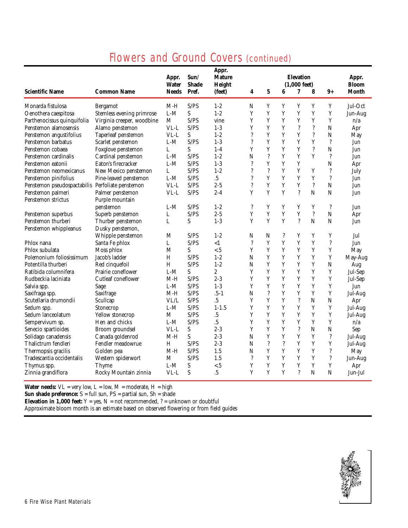## Flowers and Ground Covers (continued)

|                                                  |                            | Appr.<br>Water | Sum/<br><b>Shade</b> | Appr.<br><b>Mature</b><br>Height |                          | <b>Elevation</b><br><b>Bloom</b><br>$(1,000$ feet) |            |                          |                          |                          |              |  |  |
|--------------------------------------------------|----------------------------|----------------|----------------------|----------------------------------|--------------------------|----------------------------------------------------|------------|--------------------------|--------------------------|--------------------------|--------------|--|--|
| <b>Scientific Name</b>                           | <b>Common Name</b>         | <b>Needs</b>   | Pref.                | (feet)                           | 4                        | $\mathbf 5$                                        | 6          | 7                        | 8                        | $9+$                     | <b>Month</b> |  |  |
| Monarda fistulosa                                | Bergamot                   | $M-H$          | S/PS                 | $1 - 2$                          | N                        | Y                                                  | Y          | Y                        | Y                        | Y                        | Jul-Oct      |  |  |
| Oenothera caespitosa                             | Stemless evening primrose  | $L-M$          | S                    | $1 - 2$                          | Y                        | Y                                                  | Y          | Y                        | Y                        | Y                        | Jun-Aug      |  |  |
| Parthenocissus quinquifolia                      | Virginia creeper, woodbine | M              | S/PS                 | vine                             | Y                        | Y                                                  | Y          | Y                        | Y                        | $\mathbf Y$              | n/a          |  |  |
| Penstemon alamosensis                            | Alamo penstemon            | VL-L           | S/PS                 | $1-3$                            | Y                        | Y                                                  | Y          | $\ddot{?}$               | $\ddot{?}$               | $\mathbf N$              | Apr          |  |  |
| Penstemon angustifolius                          | Taperleaf penstemon        | VL-L           | S                    | $1 - 2$                          | $\ddot{.}$               | Y                                                  | Y          | Y                        | $\ddot{?}$               | $\mathbf N$              | May          |  |  |
| Penstemon barbatus                               | Scarlet penstemon          | $L-M$          | S/PS                 | $1-3$                            | $\ddot{.}$               | Y                                                  | Y          | Y                        | Y                        | $\ddot{?}$               | Jun          |  |  |
| Penstemon cobaea                                 | Foxglove penstemon         | L              | S                    | $1-4$                            | Y                        | $\mathbf Y$                                        | Y          | Y                        | $\ddot{?}$               | N                        | Jun          |  |  |
| Penstemon cardinalis                             | Cardinal penstemon         | $L-M$          | S/PS                 | $1 - 2$                          | N                        | $\ddot{?}$                                         | Y          | Y                        | Y                        | $\ddot{?}$               | Jun          |  |  |
| Penstemon eatonii                                | Eaton's firecracker        | $L-M$          | S/PS                 | $1-3$                            | $\overline{\mathcal{L}}$ | Y                                                  | Y          | Y                        |                          | $\overline{N}$           | Apr          |  |  |
| Penstemon neomexicanus                           | New Mexico penstemon       | L              | S/PS                 | $1 - 2$                          | $\ddot{.}$               | $\ddot{?}$                                         | Y          | Y                        | Y                        | $\overline{\cdot}$       | July         |  |  |
| Penstemon pinifolius                             | Pine-leaved penstemon      | $L-M$          | S/PS                 | $\overline{.5}$                  | $\gamma$                 | Y                                                  | Y          | Y                        | Y                        | $\ddot{?}$               | Jun          |  |  |
| Penstemon pseudospactabilis Perfoliate penstemon |                            | $VL-L$         | S/PS                 | $2 - 5$                          | $\overline{\mathcal{L}}$ | Y                                                  | Y          | Y                        | $\overline{\mathcal{C}}$ | $\mathbf N$              | Jun          |  |  |
| Penstemon palmeri                                | Palmer penstemon           | VL-L           | S/PS                 | $2 - 4$                          | Y                        | Y                                                  | Y          | $\overline{\mathcal{L}}$ | N                        | N                        | Jun          |  |  |
| Penstemon strictus                               | Purple mountain            |                |                      |                                  |                          |                                                    |            |                          |                          |                          |              |  |  |
|                                                  | penstemon                  | $L-M$          | S/PS                 | $1 - 2$                          | ?                        | Y                                                  | Y          | Y                        | Y                        | ?                        | Jun          |  |  |
| Penstemon superbus                               | Superb penstemon           | L              | S/PS                 | $2 - 5$                          | Y                        | Y                                                  | Y          | Y                        | $\ddot{?}$               | N                        | Apr          |  |  |
| Penstemon thurberi                               | Thurber penstemon          | L              | S                    | $1-3$                            | Y                        | Y                                                  | Y          | $\gamma$                 | N                        | N                        | Jun          |  |  |
| Penstemon whippleanus                            | Dusky penstemon,           |                |                      |                                  |                          |                                                    |            |                          |                          |                          |              |  |  |
|                                                  | Whipple penstemon          | M              | S/PS                 | $1 - 2$                          | N                        | N                                                  | $\ddot{?}$ | Y                        | Y                        | Y                        | Jul          |  |  |
| Phlox nana                                       | Santa Fe phlox             | L              | S/PS                 | $\leq$ 1                         | $\overline{\cdot}$       | Y                                                  | Y          | Y                        | Y                        | $\ddot{?}$               | Jun          |  |  |
| Phlox subulata                                   | Moss phlox                 | M              | S                    | < 5                              | Y                        | Y                                                  | Y          | Y                        | Y                        | Y                        | May          |  |  |
| Polemonium foliosissimum                         | Jacob's ladder             | H              | S/PS                 | $1 - 2$                          | N                        | Y                                                  | Y          | Y                        | Y                        | Y                        | May-Aug      |  |  |
| Potentilla thurberi                              | Red cinquefoil             | H              | S/PS                 | $1 - 2$                          | N                        | Y                                                  | Y          | Y                        | Y                        | $\mathbf N$              | Aug          |  |  |
| Ratibida columnifera                             | Prairie coneflower         | $L-M$          | S                    | 2                                | Y                        | Y                                                  | Y          | Y                        | Y                        | Y                        | Jul-Sep      |  |  |
| Rudbeckia laciniata                              | Cutleaf coneflower         | $M-H$          | S/PS                 | $2 - 3$                          | Y                        | Y                                                  | Y          | Y                        | Y                        | Y                        | Jul-Sep      |  |  |
| Salvia spp.                                      | Sage                       | $L-M$          | S/PS                 | $1-3$                            | Y                        | Y                                                  | Y          | Y                        | Y                        | Y                        | Jun          |  |  |
| Saxifraga spp.                                   | Saxifrage                  | $M-H$          | S/PS                 | $.5 - 1$                         | N                        | $\ddot{?}$                                         | Y          | Y                        | Y                        | $\mathbf Y$              | Jul-Aug      |  |  |
| Scutellaria drumondii                            | Scullcap                   | VL/L           | S/PS                 | .5                               | Y                        | Y                                                  | Y          | $\ddot{?}$               | $\mathbf N$              | $\mathbf N$              | Apr          |  |  |
| Sedum spp.                                       | Stonecrop                  | $L-M$          | S/PS                 | $1 - 1.5$                        | Y                        | Y                                                  | Y          | Y                        | Y                        | $\mathbf Y$              | Jul-Aug      |  |  |
| Sedum lanceolatum                                | Yellow stonecrop           | М              | S/PS                 | $.5\,$                           | Y                        | Y                                                  | Y          | Y                        | Y                        | Y                        | Jul-Aug      |  |  |
| Sempervivum sp.                                  | Hen and chicks             | $L-M$          | S/PS                 | $.5\,$                           | Y                        | Y                                                  | Y          | Y                        | Y                        | $\mathbf Y$              | n/a          |  |  |
| Senecio spartioides                              | Broom groundsel            | VL-L           | S                    | $2 - 3$                          | Y                        | Y                                                  | Y          | $\overline{\mathcal{L}}$ | N                        | $\overline{N}$           | Sep          |  |  |
| Solidago canadensis                              | Canada goldenrod           | $M-H$          | S                    | $2 - 3$                          | N                        | Y                                                  | Y          | Y                        | Y                        | $\ddot{?}$               | Jul-Aug      |  |  |
| Thalictrum fendleri                              | Fendler meadowrue          | H              | S/PS                 | $2 - 3$                          | N                        | $\ddot{?}$                                         | $\ddot{?}$ | Y                        | Y                        | Y                        | Jul-Aug      |  |  |
| Thermopsis gracilis                              | Golden pea                 | $M-H$          | S/PS                 | 1.5                              | N                        | Y                                                  | Y          | Y                        | Y                        | $\overline{\mathcal{L}}$ | May          |  |  |
| Tradescantia occidentalis                        | Western spiderwort         | М              | S/PS                 | 1.5                              | $\overline{\cdot}$       | Y                                                  | Y          | Y                        | Y                        | ?                        | Jun-Aug      |  |  |
| Thymus spp.                                      | Thyme                      | $L-M$          | S                    | < 5                              | Y                        | Y                                                  | Y          | Y                        | Y                        | $\mathbf Y$              | Apr          |  |  |
| Zinnia grandiflora                               | Rocky Mountain zinnia      | VL-L           | S                    | $.5\,$                           | Y                        | Y                                                  | Y          | $\gamma$                 | N                        | N                        | Jun-Jul      |  |  |

**Water needs:**  $VL = very low$ ,  $L = low$ ,  $M = moderate$ ,  $H = high$ 

**Sun shade preference:** S = full sun, PS = partial sun, Sh = shade

**Elevation in 1,000 feet:**  $Y = yes$ ,  $N = not recommended$ ,  $? = unknown or doubtful$ 

Approximate bloom month is an estimate based on observed flowering or from field guides

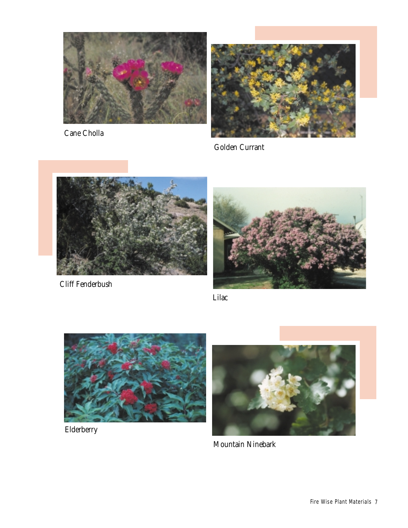

Cane Cholla



Golden Currant



Cliff Fenderbush



Lilac



Elderberry



Mountain Ninebark